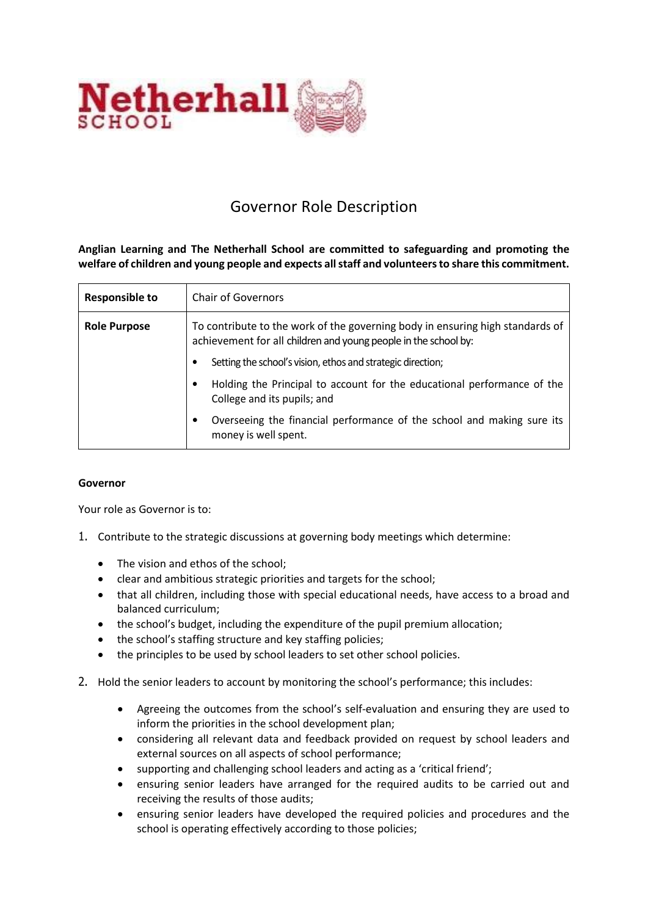

## Governor Role Description

**Anglian Learning and The Netherhall School are committed to safeguarding and promoting the welfare of children and young people and expects all staff and volunteers to share this commitment.**

| <b>Responsible to</b> | <b>Chair of Governors</b>                                                                                                                        |
|-----------------------|--------------------------------------------------------------------------------------------------------------------------------------------------|
| <b>Role Purpose</b>   | To contribute to the work of the governing body in ensuring high standards of<br>achievement for all children and young people in the school by: |
|                       | Setting the school's vision, ethos and strategic direction;                                                                                      |
|                       | Holding the Principal to account for the educational performance of the<br>College and its pupils; and                                           |
|                       | Overseeing the financial performance of the school and making sure its<br>money is well spent.                                                   |

## **Governor**

Your role as Governor is to:

- 1. Contribute to the strategic discussions at governing body meetings which determine:
	- The vision and ethos of the school;
	- clear and ambitious strategic priorities and targets for the school;
	- that all children, including those with special educational needs, have access to a broad and balanced curriculum;
	- the school's budget, including the expenditure of the pupil premium allocation;
	- the school's staffing structure and key staffing policies;
	- the principles to be used by school leaders to set other school policies.
- 2. Hold the senior leaders to account by monitoring the school's performance; this includes:
	- Agreeing the outcomes from the school's self-evaluation and ensuring they are used to inform the priorities in the school development plan;
	- considering all relevant data and feedback provided on request by school leaders and external sources on all aspects of school performance;
	- supporting and challenging school leaders and acting as a 'critical friend';
	- ensuring senior leaders have arranged for the required audits to be carried out and receiving the results of those audits;
	- ensuring senior leaders have developed the required policies and procedures and the school is operating effectively according to those policies;